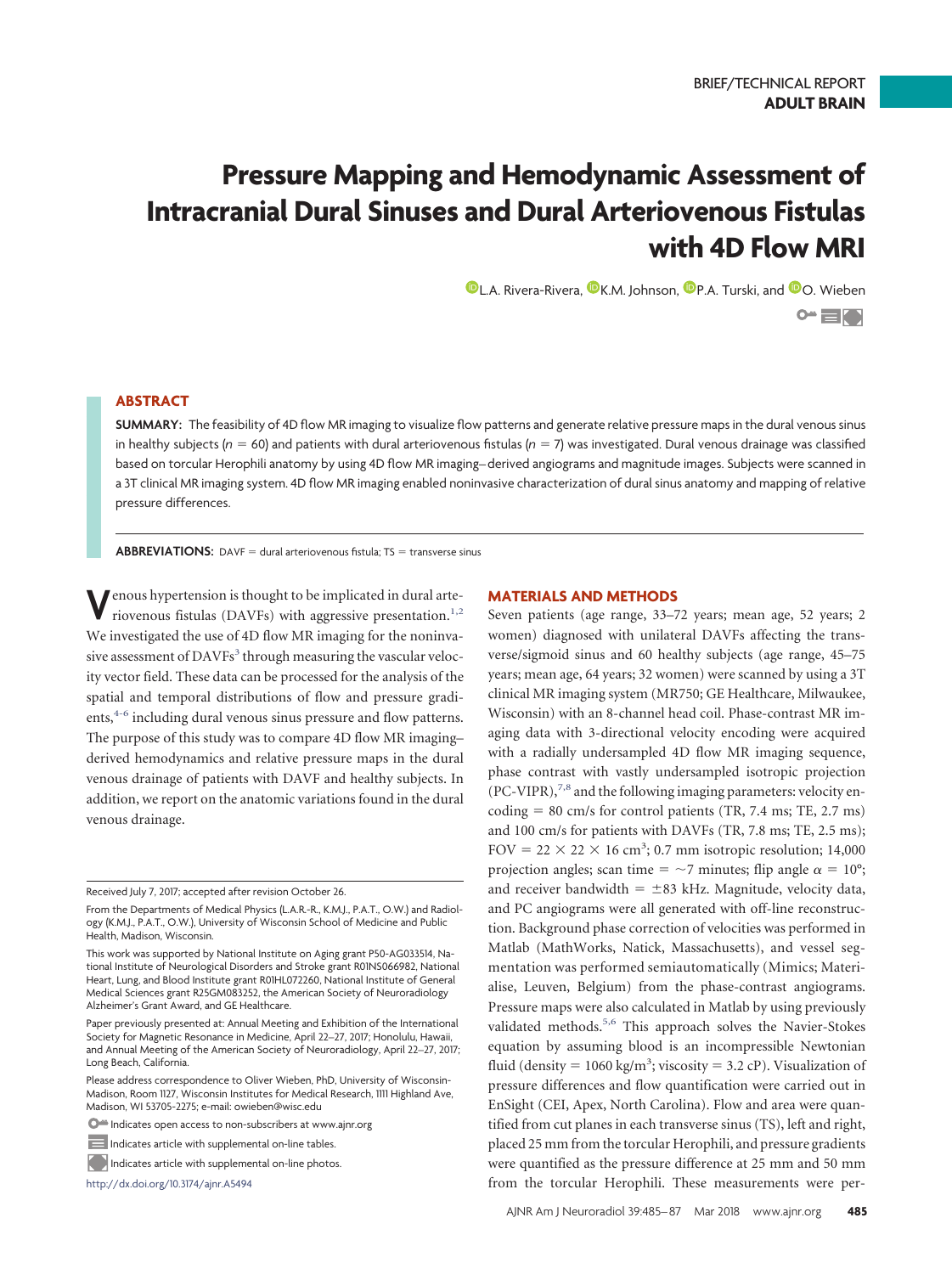# **Pressure Mapping and Hemodynamic Assessment of Intracranial Dural Sinuses and Dural Arteriovenous Fistulas with 4D Flow MRI**

**O[L.A. Rivera-Rivera,](http://orcid.org/0000-0001-5629-8721) O[K.M. Johnson,](http://orcid.org/0000-0002-8660-0853) O[P.A. Turski,](http://orcid.org/0000-0003-3552-2047) and O[O. Wieben](http://orcid.org/0000-0002-7931-1930)**  $\sim$   $\equiv$   $\sim$ 

# **ABSTRACT**

**SUMMARY:** The feasibility of 4D flow MR imaging to visualize flow patterns and generate relative pressure maps in the dural venous sinus in healthy subjects (*n* = 60) and patients with dural arteriovenous fistulas (*n* = 7) was investigated. Dural venous drainage was classified based on torcular Herophili anatomy by using 4D flow MR imaging– derived angiograms and magnitude images. Subjects were scanned in a 3T clinical MR imaging system. 4D flow MR imaging enabled noninvasive characterization of dural sinus anatomy and mapping of relative pressure differences.

ABBREVIATIONS: DAVF = dural arteriovenous fistula; TS = transverse sinus

**V**enous hypertension is thought to be implicated in dural arte-riovenous fistulas (DAVFs) with aggressive presentation.<sup>1,[2](#page-2-1)</sup> We investigated the use of 4D flow MR imaging for the noninvasive assessment of DAVFs<sup>3</sup> through measuring the vascular velocity vector field. These data can be processed for the analysis of the spatial and temporal distributions of flow and pressure gradi- $ents<sub>1</sub><sup>4-6</sup> including dural venous sinus pressure and flow patterns.$  $ents<sub>1</sub><sup>4-6</sup> including dural venous sinus pressure and flow patterns.$  $ents<sub>1</sub><sup>4-6</sup> including dural venous sinus pressure and flow patterns.$ The purpose of this study was to compare 4D flow MR imaging– derived hemodynamics and relative pressure maps in the dural venous drainage of patients with DAVF and healthy subjects. In addition, we report on the anatomic variations found in the dural venous drainage.

Received July 7, 2017; accepted after revision October 26.

#### **MATERIALS AND METHODS**

Seven patients (age range, 33–72 years; mean age, 52 years; 2 women) diagnosed with unilateral DAVFs affecting the transverse/sigmoid sinus and 60 healthy subjects (age range, 45–75 years; mean age, 64 years; 32 women) were scanned by using a 3T clinical MR imaging system (MR750; GE Healthcare, Milwaukee, Wisconsin) with an 8-channel head coil. Phase-contrast MR imaging data with 3-directional velocity encoding were acquired with a radially undersampled 4D flow MR imaging sequence, phase contrast with vastly undersampled isotropic projection  $(PC-VIPR)$ ,<sup>7,[8](#page-2-6)</sup> and the following imaging parameters: velocity encoding - 80 cm/s for control patients (TR, 7.4 ms; TE, 2.7 ms) and 100 cm/s for patients with DAVFs (TR, 7.8 ms; TE, 2.5 ms); FOV =  $22 \times 22 \times 16$  cm<sup>3</sup>; 0.7 mm isotropic resolution; 14,000 projection angles; scan time =  $\sim$ 7 minutes; flip angle  $\alpha$  = 10°; and receiver bandwidth  $= \pm 83$  kHz. Magnitude, velocity data, and PC angiograms were all generated with off-line reconstruction. Background phase correction of velocities was performed in Matlab (MathWorks, Natick, Massachusetts), and vessel segmentation was performed semiautomatically (Mimics; Materialise, Leuven, Belgium) from the phase-contrast angiograms. Pressure maps were also calculated in Matlab by using previously validated methods.<sup>5,[6](#page-2-4)</sup> This approach solves the Navier-Stokes equation by assuming blood is an incompressible Newtonian fluid (density =  $1060 \text{ kg/m}^3$ ; viscosity = 3.2 cP). Visualization of pressure differences and flow quantification were carried out in EnSight (CEI, Apex, North Carolina). Flow and area were quantified from cut planes in each transverse sinus (TS), left and right, placed 25 mm from the torcular Herophili, and pressure gradients were quantified as the pressure difference at 25 mm and 50 mm from the torcular Herophili. These measurements were per-

From the Departments of Medical Physics (L.A.R.-R., K.M.J., P.A.T., O.W.) and Radiology (K.M.J., P.A.T., O.W.), University of Wisconsin School of Medicine and Public Health, Madison, Wisconsin.

This work was supported by National Institute on Aging grant P50-AG033514, National Institute of Neurological Disorders and Stroke grant R01NS066982, National Heart, Lung, and Blood Institute grant R01HL072260, National Institute of General Medical Sciences grant R25GM083252, the American Society of Neuroradiology Alzheimer's Grant Award, and GE Healthcare.

Paper previously presented at: Annual Meeting and Exhibition of the International Society for Magnetic Resonance in Medicine, April 22–27, 2017; Honolulu, Hawaii, and Annual Meeting of the American Society of Neuroradiology, April 22–27, 2017; Long Beach, California.

Please address correspondence to Oliver Wieben, PhD, University of Wisconsin-Madison, Room 1127, Wisconsin Institutes for Medical Research, 1111 Highland Ave, Madison, WI 53705-2275; e-mail: owieben@wisc.edu

**O<sup>n</sup>** Indicates open access to non-subscribers at www.ajnr.org

Indicates article with supplemental on-line tables.

Indicates article with supplemental on-line photos.

http://dx.doi.org/10.3174/ajnr.A5494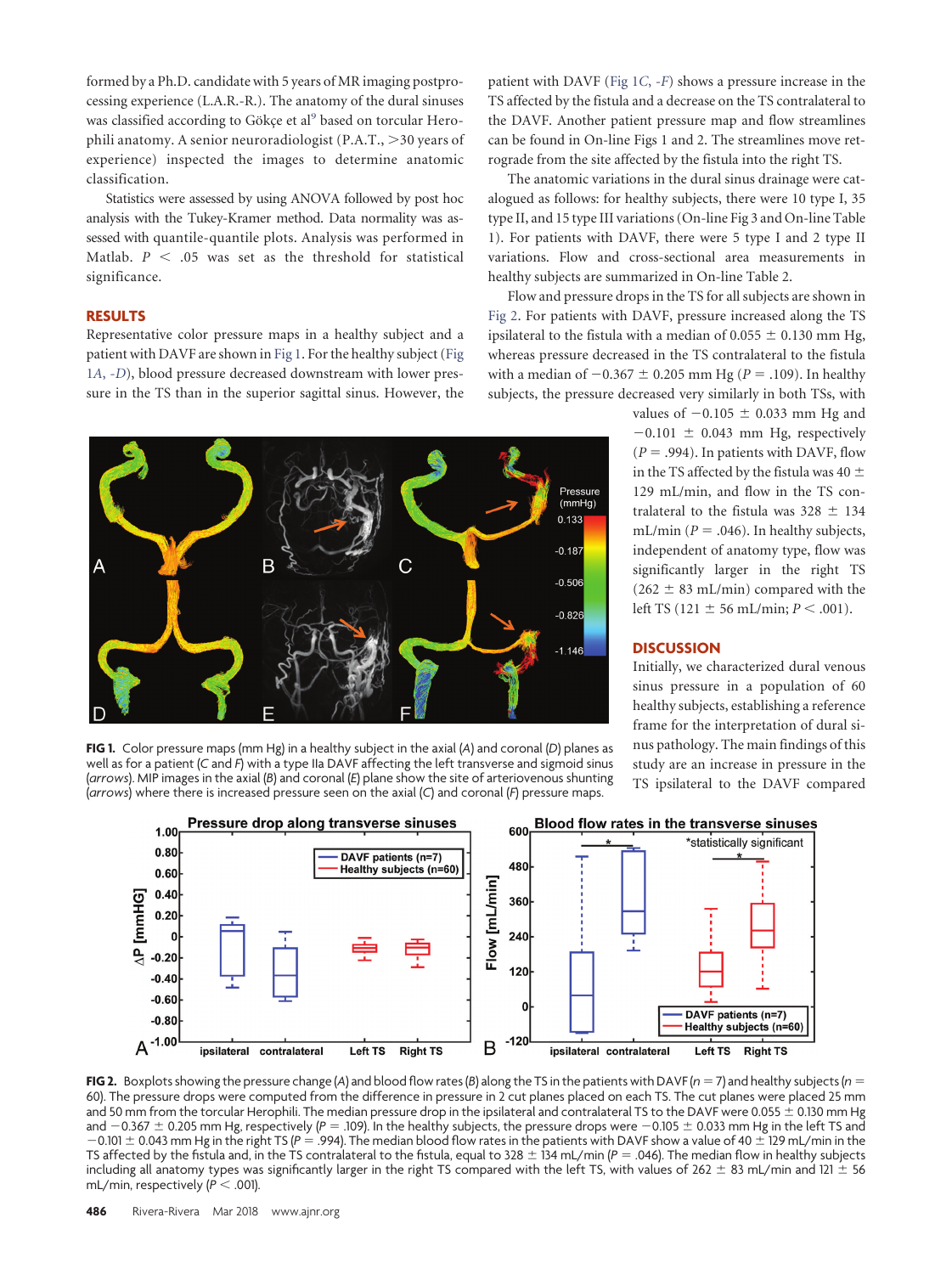formed by a Ph.D. candidate with 5 years of MR imaging postprocessing experience (L.A.R.-R.). The anatomy of the dural sinuses was classified according to Gökçe et al<sup>9</sup> based on torcular Herophili anatomy. A senior neuroradiologist  $(P.A.T., >30$  years of experience) inspected the images to determine anatomic classification.

Statistics were assessed by using ANOVA followed by post hoc analysis with the Tukey-Kramer method. Data normality was assessed with quantile-quantile plots. Analysis was performed in Matlab.  $P < .05$  was set as the threshold for statistical significance.

#### **RESULTS**

Representative color pressure maps in a healthy subject and a patient with DAVF are shown in [Fig 1.](#page-1-0) For the healthy subject [\(Fig](#page-1-0) 1*A*, *[-D](#page-1-0)*), blood pressure decreased downstream with lower pressure in the TS than in the superior sagittal sinus. However, the patient with DAVF [\(Fig 1](#page-1-0)*C*, *-F*) shows a pressure increase in the TS affected by the fistula and a decrease on the TS contralateral to the DAVF. Another patient pressure map and flow streamlines can be found in On-line Figs 1 and 2. The streamlines move retrograde from the site affected by the fistula into the right TS.

The anatomic variations in the dural sinus drainage were catalogued as follows: for healthy subjects, there were 10 type I, 35 type II, and 15 type III variations (On-line Fig 3 and On-line Table 1). For patients with DAVF, there were 5 type I and 2 type II variations. Flow and cross-sectional area measurements in healthy subjects are summarized in On-line Table 2.

Flow and pressure drops in the TS for all subjects are shown in [Fig 2.](#page-1-1) For patients with DAVF, pressure increased along the TS ipsilateral to the fistula with a median of 0.055  $\pm$  0.130 mm Hg, whereas pressure decreased in the TS contralateral to the fistula with a median of  $-0.367 \pm 0.205$  mm Hg ( $P = .109$ ). In healthy subjects, the pressure decreased very similarly in both TSs, with

> values of  $-0.105 \pm 0.033$  mm Hg and  $-0.101 \pm 0.043$  mm Hg, respectively  $(P = .994)$ . In patients with DAVF, flow in the TS affected by the fistula was 40  $\pm$ 129 mL/min, and flow in the TS contralateral to the fistula was  $328 \pm 134$ mL/min ( $P = .046$ ). In healthy subjects, independent of anatomy type, flow was significantly larger in the right TS  $(262 \pm 83 \text{ mL/min})$  compared with the left TS (121  $\pm$  56 mL/min; *P* < .001).

#### **DISCUSSION**

Initially, we characterized dural venous sinus pressure in a population of 60 healthy subjects, establishing a reference frame for the interpretation of dural sinus pathology. The main findings of this study are an increase in pressure in the TS ipsilateral to the DAVF compared

<span id="page-1-0"></span>

**FIG 1.** Color pressure maps (mm Hg) in a healthy subject in the axial (*A*) and coronal (*D*) planes as well as for a patient (*C* and *F*) with a type IIa DAVF affecting the left transverse and sigmoid sinus (*arrows*). MIP images in the axial (*B*) and coronal (*E*) plane show the site of arteriovenous shunting (*arrows*) where there is increased pressure seen on the axial (*C*) and coronal (*F*) pressure maps.

<span id="page-1-1"></span>

**FIG 2.** Boxplots showing the pressure change (*A*) and blood flow rates (*B*) along the TS in the patients with DAVF (*n* - 7) and healthy subjects (*n* - 60). The pressure drops were computed from the difference in pressure in 2 cut planes placed on each TS. The cut planes were placed 25 mm and 50 mm from the torcular Herophili. The median pressure drop in the ipsilateral and contralateral TS to the DAVF were 0.055  $\pm$  0.130 mm Hg and  $-0.367\pm0.205$  mm Hg, respectively (P = .109). In the healthy subjects, the pressure drops were  $-0.105\pm0.033$  mm Hg in the left TS and  $-0.101 \pm 0.043$  mm Hg in the right TS (P  $=$  .994). The median blood flow rates in the patients with DAVF show a value of 40  $\pm$  129 mL/min in the TS affected by the fistula and, in the TS contralateral to the fistula, equal to 328  $\pm$  134 mL/min ( $P = .$ 046). The median flow in healthy subjects including all anatomy types was significantly larger in the right TS compared with the left TS, with values of 262  $\pm$  83 mL/min and 121  $\pm$  56 mL/min, respectively  $(P < .001)$ .